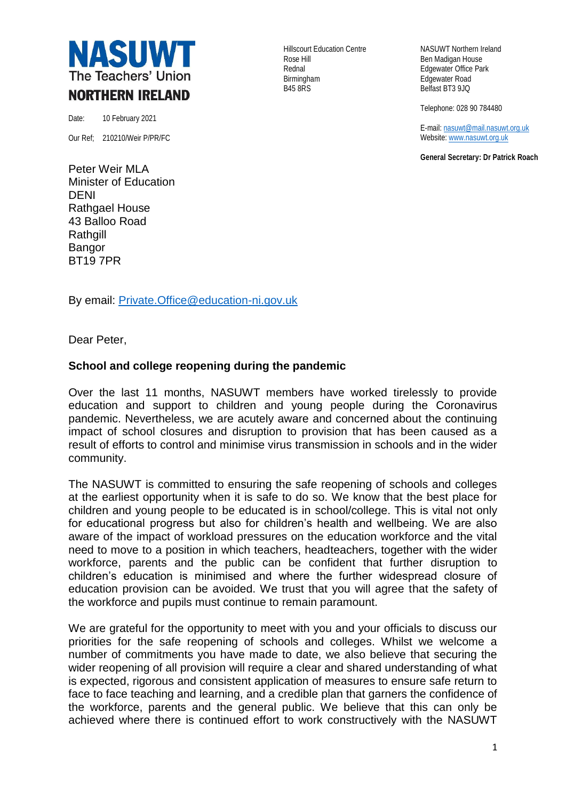

Date: 10 February 2021

Our Ref; 210210/Weir P/PR/FC

Peter Weir MLA Minister of Education DENI Rathgael House 43 Balloo Road **Rathgill** Bangor BT19 7PR

Rose Hill **Ben Madigan House** Rednal **Edgewater Office Park** Birmingham **Edgewater Road**<br>B45 8RS Belfast BT3 9JQ

Hillscourt Education Centre NASUWT Northern Ireland Belfast BT3 9JQ

Telephone: 028 90 784480

E-mail[: nasuwt@mail.nasuwt.org.uk](mailto:nasuwt@mail.nasuwt.org.uk) Website[: www.nasuwt.org.uk](http://www.nasuwt.org.uk/)

**General Secretary: Dr Patrick Roach**

By email: [Private.Office@education-ni.gov.uk](mailto:Private.Office@education-ni.gov.uk)

Dear Peter,

## **School and college reopening during the pandemic**

Over the last 11 months, NASUWT members have worked tirelessly to provide education and support to children and young people during the Coronavirus pandemic. Nevertheless, we are acutely aware and concerned about the continuing impact of school closures and disruption to provision that has been caused as a result of efforts to control and minimise virus transmission in schools and in the wider community.

The NASUWT is committed to ensuring the safe reopening of schools and colleges at the earliest opportunity when it is safe to do so. We know that the best place for children and young people to be educated is in school/college. This is vital not only for educational progress but also for children's health and wellbeing. We are also aware of the impact of workload pressures on the education workforce and the vital need to move to a position in which teachers, headteachers, together with the wider workforce, parents and the public can be confident that further disruption to children's education is minimised and where the further widespread closure of education provision can be avoided. We trust that you will agree that the safety of the workforce and pupils must continue to remain paramount.

We are grateful for the opportunity to meet with you and your officials to discuss our priorities for the safe reopening of schools and colleges. Whilst we welcome a number of commitments you have made to date, we also believe that securing the wider reopening of all provision will require a clear and shared understanding of what is expected, rigorous and consistent application of measures to ensure safe return to face to face teaching and learning, and a credible plan that garners the confidence of the workforce, parents and the general public. We believe that this can only be achieved where there is continued effort to work constructively with the NASUWT